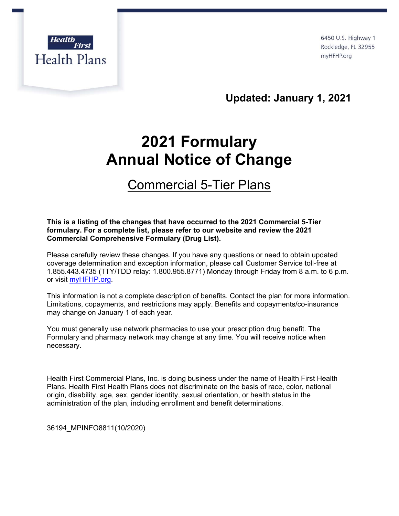

6450 U.S. Highway 1 Rockledge, FL 32955 myHFHP.org

**Updated: January 1, 2021**

## **2021 Formulary Annual Notice of Change**

## Commercial 5-Tier Plans

## **This is a listing of the changes that have occurred to the 2021 Commercial 5-Tier formulary. For a complete list, please refer to our website and review the 2021 Commercial Comprehensive Formulary (Drug List).**

Please carefully review these changes. If you have any questions or need to obtain updated coverage determination and exception information, please call Customer Service toll-free at 1.855.443.4735 (TTY/TDD relay: 1.800.955.8771) Monday through Friday from 8 a.m. to 6 p.m. or visit myHFHP.org.

This information is not a complete description of benefits. Contact the plan for more information. Limitations, copayments, and restrictions may apply. Benefits and copayments/co-insurance may change on January 1 of each year.

You must generally use network pharmacies to use your prescription drug benefit. The Formulary and pharmacy network may change at any time. You will receive notice when necessary.

Health First Commercial Plans, Inc. is doing business under the name of Health First Health Plans. Health First Health Plans does not discriminate on the basis of race, color, national origin, disability, age, sex, gender identity, sexual orientation, or health status in the administration of the plan, including enrollment and benefit determinations.

36194\_MPINFO8811(10/2020)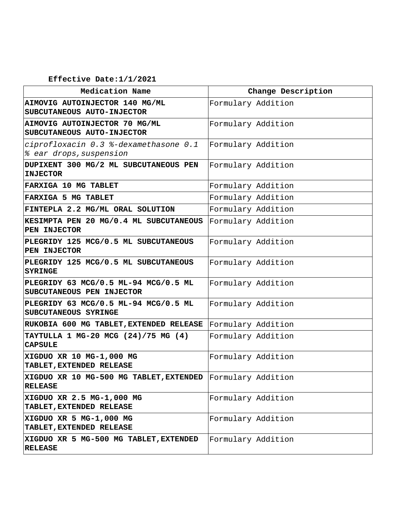## **Effective Date:1/1/2021**

| Medication Name                                                              | Change Description |
|------------------------------------------------------------------------------|--------------------|
| AIMOVIG AUTOINJECTOR 140 MG/ML<br>SUBCUTANEOUS AUTO-INJECTOR                 | Formulary Addition |
| AIMOVIG AUTOINJECTOR 70 MG/ML<br>SUBCUTANEOUS AUTO-INJECTOR                  | Formulary Addition |
| ciprofloxacin 0.3 %-dexamethasone 0.1<br>% ear drops, suspension             | Formulary Addition |
| DUPIXENT 300 MG/2 ML SUBCUTANEOUS PEN<br><b>INJECTOR</b>                     | Formulary Addition |
| FARXIGA 10 MG TABLET                                                         | Formulary Addition |
| FARXIGA 5 MG TABLET                                                          | Formulary Addition |
| FINTEPLA 2.2 MG/ML ORAL SOLUTION                                             | Formulary Addition |
| KESIMPTA PEN 20 MG/0.4 ML SUBCUTANEOUS<br>PEN INJECTOR                       | Formulary Addition |
| PLEGRIDY 125 MCG/0.5 ML SUBCUTANEOUS<br>PEN INJECTOR                         | Formulary Addition |
| PLEGRIDY 125 MCG/0.5 ML SUBCUTANEOUS<br><b>SYRINGE</b>                       | Formulary Addition |
| PLEGRIDY 63 MCG/0.5 ML-94 MCG/0.5 ML<br>SUBCUTANEOUS PEN INJECTOR            | Formulary Addition |
| PLEGRIDY 63 MCG/0.5 ML-94 MCG/0.5 ML<br>SUBCUTANEOUS SYRINGE                 | Formulary Addition |
| RUKOBIA 600 MG TABLET, EXTENDED RELEASE                                      | Formulary Addition |
| TAYTULLA 1 MG-20 MCG (24)/75 MG (4)<br><b>CAPSULE</b>                        | Formulary Addition |
| XIGDUO XR 10 MG-1,000 MG<br>TABLET, EXTENDED RELEASE                         | Formulary Addition |
| XIGDUO XR 10 MG-500 MG TABLET, EXTENDED Formulary Addition<br><b>RELEASE</b> |                    |
| XIGDUO XR 2.5 MG-1,000 MG<br>TABLET, EXTENDED RELEASE                        | Formulary Addition |
| XIGDUO XR 5 MG-1,000 MG<br>TABLET, EXTENDED RELEASE                          | Formulary Addition |
| XIGDUO XR 5 MG-500 MG TABLET, EXTENDED<br><b>RELEASE</b>                     | Formulary Addition |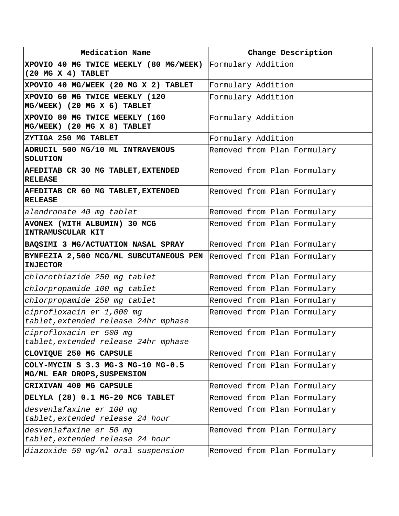| Medication Name                                                   | Change Description          |
|-------------------------------------------------------------------|-----------------------------|
| XPOVIO 40 MG TWICE WEEKLY (80 MG/WEEK)                            | Formulary Addition          |
| (20 MG X 4) TABLET                                                |                             |
| XPOVIO 40 MG/WEEK (20 MG X 2) TABLET                              | Formulary Addition          |
| XPOVIO 60 MG TWICE WEEKLY (120<br>MG/WEEK) (20 MG X 6) TABLET     | Formulary Addition          |
| XPOVIO 80 MG TWICE WEEKLY (160<br>MG/WEEK) (20 MG X 8) TABLET     | Formulary Addition          |
| ZYTIGA 250 MG TABLET                                              | Formulary Addition          |
| ADRUCIL 500 MG/10 ML INTRAVENOUS<br><b>SOLUTION</b>               | Removed from Plan Formulary |
| AFEDITAB CR 30 MG TABLET, EXTENDED<br><b>RELEASE</b>              | Removed from Plan Formulary |
| AFEDITAB CR 60 MG TABLET, EXTENDED<br><b>RELEASE</b>              | Removed from Plan Formulary |
| alendronate 40 mg tablet                                          | Removed from Plan Formulary |
| AVONEX (WITH ALBUMIN) 30 MCG<br>INTRAMUSCULAR KIT                 | Removed from Plan Formulary |
| BAQSIMI 3 MG/ACTUATION NASAL SPRAY                                | Removed from Plan Formulary |
| BYNFEZIA 2,500 MCG/ML SUBCUTANEOUS PEN<br><b>INJECTOR</b>         | Removed from Plan Formulary |
| chlorothiazide 250 mg tablet                                      | Removed from Plan Formulary |
| chlorpropamide 100 mg tablet                                      | Removed from Plan Formulary |
| chlorpropamide 250 mg tablet                                      | Removed from Plan Formulary |
| ciprofloxacin er 1,000 mg<br>tablet, extended release 24hr mphase | Removed from Plan Formulary |
| ciprofloxacin er 500 mg<br>tablet, extended release 24hr mphase   | Removed from Plan Formulary |
| CLOVIQUE 250 MG CAPSULE                                           | Removed from Plan Formulary |
| COLY-MYCIN S 3.3 MG-3 MG-10 MG-0.5<br>MG/ML EAR DROPS, SUSPENSION | Removed from Plan Formulary |
| CRIXIVAN 400 MG CAPSULE                                           | Removed from Plan Formulary |
| DELYLA (28) 0.1 MG-20 MCG TABLET                                  | Removed from Plan Formulary |
| desvenlafaxine er 100 mg<br>tablet, extended release 24 hour      | Removed from Plan Formulary |
| desvenlafaxine er 50 mg<br>tablet, extended release 24 hour       | Removed from Plan Formulary |
| diazoxide 50 mg/ml oral suspension                                | Removed from Plan Formulary |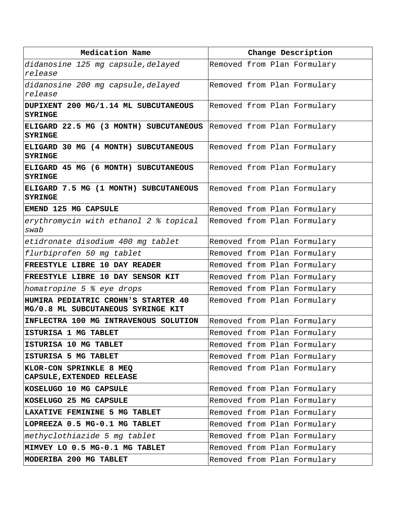| Medication Name                                                           | Change Description          |
|---------------------------------------------------------------------------|-----------------------------|
| didanosine 125 mg capsule, delayed<br>release                             | Removed from Plan Formulary |
| didanosine 200 mg capsule, delayed<br>release                             | Removed from Plan Formulary |
| DUPIXENT 200 MG/1.14 ML SUBCUTANEOUS<br><b>SYRINGE</b>                    | Removed from Plan Formulary |
| ELIGARD 22.5 MG (3 MONTH) SUBCUTANEOUS<br><b>SYRINGE</b>                  | Removed from Plan Formulary |
| ELIGARD 30 MG (4 MONTH) SUBCUTANEOUS<br><b>SYRINGE</b>                    | Removed from Plan Formulary |
| ELIGARD 45 MG (6 MONTH) SUBCUTANEOUS<br><b>SYRINGE</b>                    | Removed from Plan Formulary |
| ELIGARD 7.5 MG (1 MONTH) SUBCUTANEOUS<br><b>SYRINGE</b>                   | Removed from Plan Formulary |
| EMEND 125 MG CAPSULE                                                      | Removed from Plan Formulary |
| erythromycin with ethanol 2 % topical<br>swab                             | Removed from Plan Formulary |
| etidronate disodium 400 mg tablet                                         | Removed from Plan Formulary |
| flurbiprofen 50 mg tablet                                                 | Removed from Plan Formulary |
| FREESTYLE LIBRE 10 DAY READER                                             | Removed from Plan Formulary |
| FREESTYLE LIBRE 10 DAY SENSOR KIT                                         | Removed from Plan Formulary |
| homatropine 5 % eye drops                                                 | Removed from Plan Formulary |
| HUMIRA PEDIATRIC CROHN'S STARTER 40<br>MG/0.8 ML SUBCUTANEOUS SYRINGE KIT | Removed from Plan Formulary |
| INFLECTRA 100 MG INTRAVENOUS SOLUTION                                     | Removed from Plan Formulary |
| ISTURISA 1 MG TABLET                                                      | Removed from Plan Formulary |
| ISTURISA 10 MG TABLET                                                     | Removed from Plan Formulary |
| ISTURISA 5 MG TABLET                                                      | Removed from Plan Formulary |
| KLOR-CON SPRINKLE 8 MEQ<br>CAPSULE, EXTENDED RELEASE                      | Removed from Plan Formulary |
| KOSELUGO 10 MG CAPSULE                                                    | Removed from Plan Formulary |
| KOSELUGO 25 MG CAPSULE                                                    | Removed from Plan Formulary |
| LAXATIVE FEMININE 5 MG TABLET                                             | Removed from Plan Formulary |
| LOPREEZA 0.5 MG-0.1 MG TABLET                                             | Removed from Plan Formulary |
| methyclothiazide 5 mg tablet                                              | Removed from Plan Formulary |
| MIMVEY LO 0.5 MG-0.1 MG TABLET                                            | Removed from Plan Formulary |
| MODERIBA 200 MG TABLET                                                    | Removed from Plan Formulary |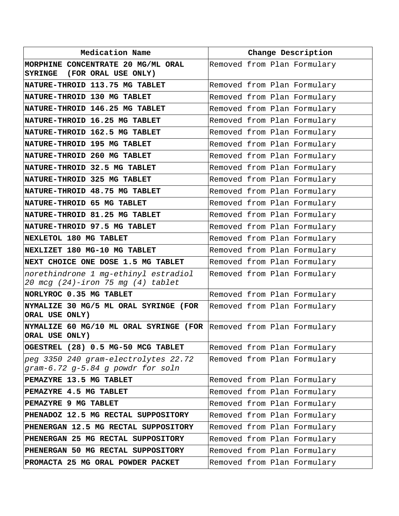| Medication Name                                                                      | Change Description          |                             |
|--------------------------------------------------------------------------------------|-----------------------------|-----------------------------|
| MORPHINE CONCENTRATE 20 MG/ML ORAL<br>(FOR ORAL USE ONLY)<br><b>SYRINGE</b>          | Removed from Plan Formulary |                             |
| NATURE-THROID 113.75 MG TABLET                                                       | Removed from Plan Formulary |                             |
| NATURE-THROID 130 MG TABLET                                                          |                             | Removed from Plan Formulary |
| NATURE-THROID 146.25 MG TABLET                                                       | Removed from Plan Formulary |                             |
| NATURE-THROID 16.25 MG TABLET                                                        |                             | Removed from Plan Formulary |
| NATURE-THROID 162.5 MG TABLET                                                        | Removed from Plan Formulary |                             |
| NATURE-THROID 195 MG TABLET                                                          |                             | Removed from Plan Formulary |
| NATURE-THROID 260 MG TABLET                                                          | Removed from Plan Formulary |                             |
| NATURE-THROID 32.5 MG TABLET                                                         |                             | Removed from Plan Formulary |
| NATURE-THROID 325 MG TABLET                                                          | Removed from Plan Formulary |                             |
| NATURE-THROID 48.75 MG TABLET                                                        |                             | Removed from Plan Formulary |
| NATURE-THROID 65 MG TABLET                                                           | Removed from Plan Formulary |                             |
| NATURE-THROID 81.25 MG TABLET                                                        |                             | Removed from Plan Formulary |
| NATURE-THROID 97.5 MG TABLET                                                         | Removed from Plan Formulary |                             |
| NEXLETOL 180 MG TABLET                                                               |                             | Removed from Plan Formulary |
| NEXLIZET 180 MG-10 MG TABLET                                                         | Removed from Plan Formulary |                             |
| NEXT CHOICE ONE DOSE 1.5 MG TABLET                                                   |                             | Removed from Plan Formulary |
| norethindrone 1 mg-ethinyl estradiol<br>20 mcg (24)-iron 75 mg (4) tablet            | Removed from Plan Formulary |                             |
| NORLYROC 0.35 MG TABLET                                                              | Removed from Plan Formulary |                             |
| NYMALIZE 30 MG/5 ML ORAL SYRINGE (FOR<br>ORAL USE ONLY)                              | Removed from Plan Formulary |                             |
| NYMALIZE 60 MG/10 ML ORAL SYRINGE (FOR Removed from Plan Formulary<br>ORAL USE ONLY) |                             |                             |
| OGESTREL (28) 0.5 MG-50 MCG TABLET                                                   |                             | Removed from Plan Formulary |
| peg 3350 240 gram-electrolytes 22.72<br>gram-6.72 g-5.84 g powdr for soln            |                             | Removed from Plan Formulary |
| PEMAZYRE 13.5 MG TABLET                                                              | Removed from Plan Formulary |                             |
| PEMAZYRE 4.5 MG TABLET                                                               | Removed from Plan Formulary |                             |
| PEMAZYRE 9 MG TABLET                                                                 | Removed from Plan Formulary |                             |
| PHENADOZ 12.5 MG RECTAL SUPPOSITORY                                                  | Removed from Plan Formulary |                             |
| PHENERGAN 12.5 MG RECTAL SUPPOSITORY                                                 |                             | Removed from Plan Formulary |
| PHENERGAN 25 MG RECTAL SUPPOSITORY                                                   | Removed from Plan Formulary |                             |
| PHENERGAN 50 MG RECTAL SUPPOSITORY                                                   |                             | Removed from Plan Formulary |
| PROMACTA 25 MG ORAL POWDER PACKET                                                    |                             | Removed from Plan Formulary |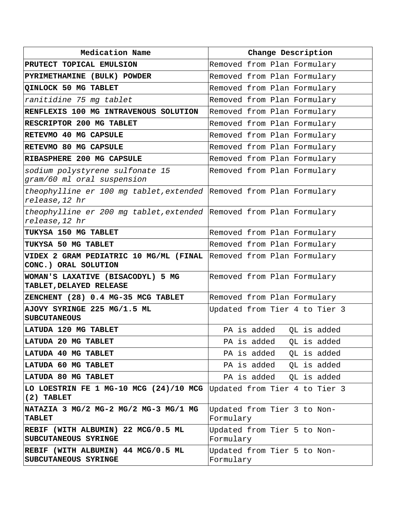| Medication Name                                                                            | Change Description                       |
|--------------------------------------------------------------------------------------------|------------------------------------------|
| PRUTECT TOPICAL EMULSION                                                                   | Removed from Plan Formulary              |
| PYRIMETHAMINE (BULK) POWDER                                                                | Removed from Plan Formulary              |
| QINLOCK 50 MG TABLET                                                                       | Removed from Plan Formulary              |
| ranitidine 75 mg tablet                                                                    | Removed from Plan Formulary              |
| RENFLEXIS 100 MG INTRAVENOUS SOLUTION                                                      | Removed from Plan Formulary              |
| RESCRIPTOR 200 MG TABLET                                                                   | Removed from Plan Formulary              |
| RETEVMO 40 MG CAPSULE                                                                      | Removed from Plan Formulary              |
| RETEVMO 80 MG CAPSULE                                                                      | Removed from Plan Formulary              |
| RIBASPHERE 200 MG CAPSULE                                                                  | Removed from Plan Formulary              |
| sodium polystyrene sulfonate 15<br>gram/60 ml oral suspension                              | Removed from Plan Formulary              |
| theophylline er 100 mg tablet, extended Removed from Plan Formulary<br>release, 12 hr      |                                          |
| theophylline er 200 mg tablet, extended Removed from Plan Formulary<br>release, 12 hr      |                                          |
| TUKYSA 150 MG TABLET                                                                       | Removed from Plan Formulary              |
| TUKYSA 50 MG TABLET                                                                        | Removed from Plan Formulary              |
| VIDEX 2 GRAM PEDIATRIC 10 MG/ML (FINAL Removed from Plan Formulary<br>CONC.) ORAL SOLUTION |                                          |
| WOMAN'S LAXATIVE (BISACODYL) 5 MG<br>TABLET, DELAYED RELEASE                               | Removed from Plan Formulary              |
| ZENCHENT (28) 0.4 MG-35 MCG TABLET                                                         | Removed from Plan Formulary              |
| AJOVY SYRINGE 225 MG/1.5 ML<br><b>SUBCUTANEOUS</b>                                         | Updated from Tier 4 to Tier 3            |
| LATUDA 120 MG TABLET                                                                       | PA is added<br>QL is added               |
| LATUDA 20 MG TABLET                                                                        | PA is added<br>QL is added               |
| LATUDA 40 MG TABLET                                                                        | PA is added<br>QL is added               |
| LATUDA 60 MG TABLET                                                                        | PA is added<br>QL is added               |
| LATUDA 80 MG TABLET                                                                        | PA is added<br>OL is added               |
| LO LOESTRIN FE 1 MG-10 MCG (24)/10 MCG<br>$(2)$ TABLET                                     | Updated from Tier 4 to Tier 3            |
| NATAZIA 3 MG/2 MG-2 MG/2 MG-3 MG/1 MG<br><b>TABLET</b>                                     | Updated from Tier 3 to Non-<br>Formulary |
| REBIF (WITH ALBUMIN) 22 MCG/0.5 ML<br>SUBCUTANEOUS SYRINGE                                 | Updated from Tier 5 to Non-<br>Formulary |
| REBIF (WITH ALBUMIN) 44 MCG/0.5 ML<br>SUBCUTANEOUS SYRINGE                                 | Updated from Tier 5 to Non-<br>Formulary |